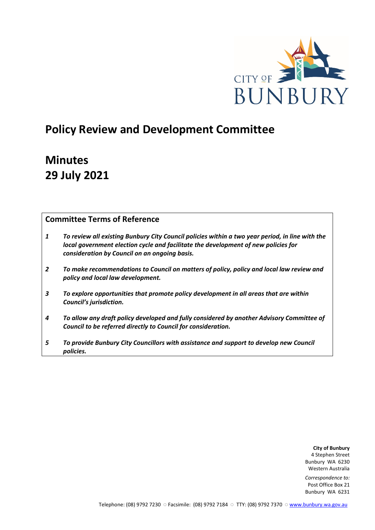

# **Policy Review and Development Committee**

# **Minutes 29 July 2021**

# **Committee Terms of Reference**

- *1 To review all existing Bunbury City Council policies within a two year period, in line with the local government election cycle and facilitate the development of new policies for consideration by Council on an ongoing basis.*
- *2 To make recommendations to Council on matters of policy, policy and local law review and policy and local law development.*
- *3 To explore opportunities that promote policy development in all areas that are within Council's jurisdiction.*
- *4 To allow any draft policy developed and fully considered by another Advisory Committee of Council to be referred directly to Council for consideration.*
- *5 To provide Bunbury City Councillors with assistance and support to develop new Council policies.*

**City of Bunbury** 4 Stephen Street Bunbury WA 6230 Western Australia

*Correspondence to:* Post Office Box 21 Bunbury WA 6231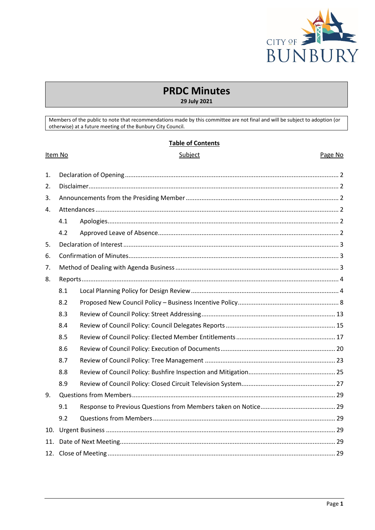

# **PRDC Minutes**

29 July 2021

Members of the public to note that recommendations made by this committee are not final and will be subject to adoption (or otherwise) at a future meeting of the Bunbury City Council.

|  |  | <b>Table of Contents</b> |  |  |  |
|--|--|--------------------------|--|--|--|
|  |  |                          |  |  |  |

#### Item No

# Subject

#### Page No

| 1.  |     |  |  |  |  |  |
|-----|-----|--|--|--|--|--|
| 2.  |     |  |  |  |  |  |
| 3.  |     |  |  |  |  |  |
| 4.  |     |  |  |  |  |  |
|     | 4.1 |  |  |  |  |  |
|     | 4.2 |  |  |  |  |  |
| 5.  |     |  |  |  |  |  |
| 6.  |     |  |  |  |  |  |
| 7.  |     |  |  |  |  |  |
| 8.  |     |  |  |  |  |  |
|     | 8.1 |  |  |  |  |  |
|     | 8.2 |  |  |  |  |  |
|     | 8.3 |  |  |  |  |  |
|     | 8.4 |  |  |  |  |  |
|     | 8.5 |  |  |  |  |  |
|     | 8.6 |  |  |  |  |  |
|     | 8.7 |  |  |  |  |  |
|     | 8.8 |  |  |  |  |  |
|     | 8.9 |  |  |  |  |  |
| 9.  |     |  |  |  |  |  |
|     | 9.1 |  |  |  |  |  |
|     | 9.2 |  |  |  |  |  |
| 10. |     |  |  |  |  |  |
| 11. |     |  |  |  |  |  |
|     |     |  |  |  |  |  |
|     |     |  |  |  |  |  |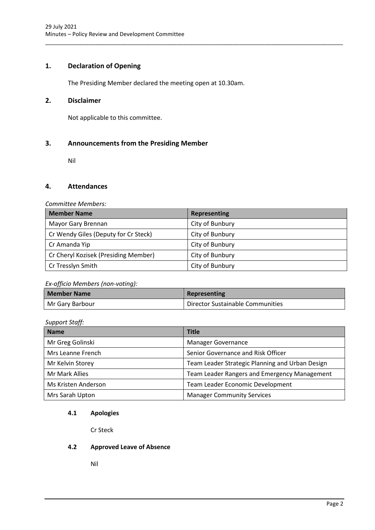# <span id="page-2-0"></span>**1. Declaration of Opening**

The Presiding Member declared the meeting open at 10.30am.

# <span id="page-2-1"></span>**2. Disclaimer**

Not applicable to this committee.

# <span id="page-2-2"></span>**3. Announcements from the Presiding Member**

Nil

# <span id="page-2-3"></span>**4. Attendances**

# *Committee Members:*

| <b>Member Name</b>                   | Representing    |
|--------------------------------------|-----------------|
| Mayor Gary Brennan                   | City of Bunbury |
| Cr Wendy Giles (Deputy for Cr Steck) | City of Bunbury |
| Cr Amanda Yip                        | City of Bunbury |
| Cr Cheryl Kozisek (Presiding Member) | City of Bunbury |
| Cr Tresslyn Smith                    | City of Bunbury |

\_\_\_\_\_\_\_\_\_\_\_\_\_\_\_\_\_\_\_\_\_\_\_\_\_\_\_\_\_\_\_\_\_\_\_\_\_\_\_\_\_\_\_\_\_\_\_\_\_\_\_\_\_\_\_\_\_\_\_\_\_\_\_\_\_\_\_\_\_\_\_\_\_\_\_\_\_\_\_\_\_\_\_\_\_\_\_\_\_\_\_\_\_\_\_

# *Ex-officio Members (non-voting):*

| Member Name     | Representing                     |
|-----------------|----------------------------------|
| Mr Gary Barbour | Director Sustainable Communities |

# *Support Staff:*

| <b>Name</b>         | <b>Title</b>                                    |
|---------------------|-------------------------------------------------|
| Mr Greg Golinski    | <b>Manager Governance</b>                       |
| Mrs Leanne French   | Senior Governance and Risk Officer              |
| Mr Kelvin Storey    | Team Leader Strategic Planning and Urban Design |
| Mr Mark Allies      | Team Leader Rangers and Emergency Management    |
| Ms Kristen Anderson | Team Leader Economic Development                |
| Mrs Sarah Upton     | <b>Manager Community Services</b>               |

# <span id="page-2-4"></span>**4.1 Apologies**

Cr Steck

# <span id="page-2-5"></span>**4.2 Approved Leave of Absence**

Nil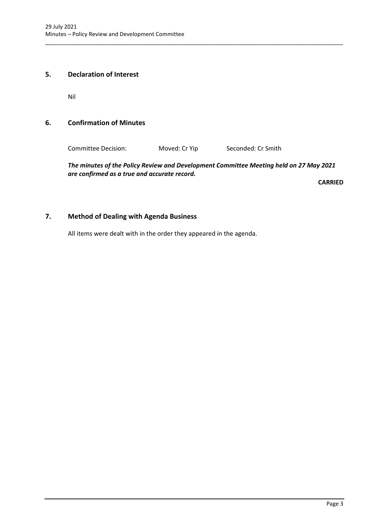# <span id="page-3-0"></span>**5. Declaration of Interest**

Nil

# <span id="page-3-1"></span>**6. Confirmation of Minutes**

Committee Decision: Moved: Cr Yip Seconded: Cr Smith

\_\_\_\_\_\_\_\_\_\_\_\_\_\_\_\_\_\_\_\_\_\_\_\_\_\_\_\_\_\_\_\_\_\_\_\_\_\_\_\_\_\_\_\_\_\_\_\_\_\_\_\_\_\_\_\_\_\_\_\_\_\_\_\_\_\_\_\_\_\_\_\_\_\_\_\_\_\_\_\_\_\_\_\_\_\_\_\_\_\_\_\_\_\_\_

*The minutes of the Policy Review and Development Committee Meeting held on 27 May 2021 are confirmed as a true and accurate record.*

**CARRIED**

# <span id="page-3-2"></span>**7. Method of Dealing with Agenda Business**

All items were dealt with in the order they appeared in the agenda.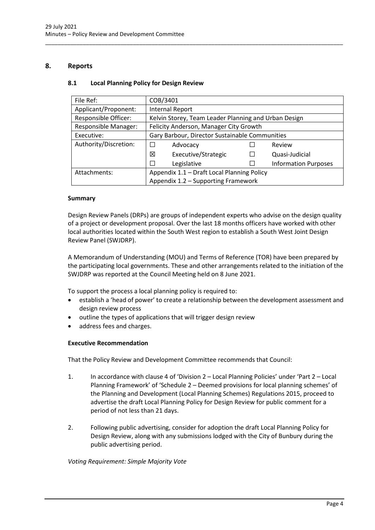# <span id="page-4-1"></span><span id="page-4-0"></span>**8. Reports**

# **8.1 Local Planning Policy for Design Review**

| File Ref:                   | COB/3401                                       |                                                      |  |                             |  |
|-----------------------------|------------------------------------------------|------------------------------------------------------|--|-----------------------------|--|
| Applicant/Proponent:        |                                                | <b>Internal Report</b>                               |  |                             |  |
| Responsible Officer:        |                                                | Kelvin Storey, Team Leader Planning and Urban Design |  |                             |  |
| <b>Responsible Manager:</b> |                                                | Felicity Anderson, Manager City Growth               |  |                             |  |
| Executive:                  | Gary Barbour, Director Sustainable Communities |                                                      |  |                             |  |
| Authority/Discretion:       | $\Box$                                         | Advocacy                                             |  | Review                      |  |
|                             | 冈                                              | Executive/Strategic                                  |  | Quasi-Judicial              |  |
|                             | $\Box$                                         | Legislative                                          |  | <b>Information Purposes</b> |  |
| Attachments:                | Appendix 1.1 - Draft Local Planning Policy     |                                                      |  |                             |  |
|                             | Appendix 1.2 - Supporting Framework            |                                                      |  |                             |  |

\_\_\_\_\_\_\_\_\_\_\_\_\_\_\_\_\_\_\_\_\_\_\_\_\_\_\_\_\_\_\_\_\_\_\_\_\_\_\_\_\_\_\_\_\_\_\_\_\_\_\_\_\_\_\_\_\_\_\_\_\_\_\_\_\_\_\_\_\_\_\_\_\_\_\_\_\_\_\_\_\_\_\_\_\_\_\_\_\_\_\_\_\_\_\_

# **Summary**

Design Review Panels (DRPs) are groups of independent experts who advise on the design quality of a project or development proposal. Over the last 18 months officers have worked with other local authorities located within the South West region to establish a South West Joint Design Review Panel (SWJDRP).

A Memorandum of Understanding (MOU) and Terms of Reference (TOR) have been prepared by the participating local governments. These and other arrangements related to the initiation of the SWJDRP was reported at the Council Meeting held on 8 June 2021.

To support the process a local planning policy is required to:

- establish a 'head of power' to create a relationship between the development assessment and design review process
- outline the types of applications that will trigger design review
- address fees and charges.

# **Executive Recommendation**

That the Policy Review and Development Committee recommends that Council:

- 1. In accordance with clause 4 of 'Division 2 Local Planning Policies' under 'Part 2 Local Planning Framework' of 'Schedule 2 – Deemed provisions for local planning schemes' of the Planning and Development (Local Planning Schemes) Regulations 2015, proceed to advertise the draft Local Planning Policy for Design Review for public comment for a period of not less than 21 days.
- 2. Following public advertising, consider for adoption the draft Local Planning Policy for Design Review, along with any submissions lodged with the City of Bunbury during the public advertising period.

*Voting Requirement: Simple Majority Vote*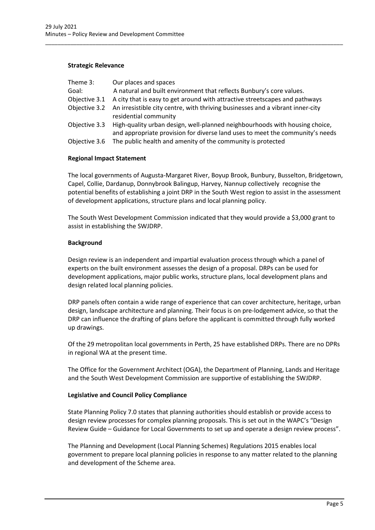# **Strategic Relevance**

| Theme 3:      | Our places and spaces                                                                                                                                        |
|---------------|--------------------------------------------------------------------------------------------------------------------------------------------------------------|
| Goal:         | A natural and built environment that reflects Bunbury's core values.                                                                                         |
| Objective 3.1 | A city that is easy to get around with attractive streetscapes and pathways                                                                                  |
|               | Objective 3.2 An irresistible city centre, with thriving businesses and a vibrant inner-city<br>residential community                                        |
| Objective 3.3 | High-quality urban design, well-planned neighbourhoods with housing choice,<br>and appropriate provision for diverse land uses to meet the community's needs |
| Objective 3.6 | The public health and amenity of the community is protected                                                                                                  |

\_\_\_\_\_\_\_\_\_\_\_\_\_\_\_\_\_\_\_\_\_\_\_\_\_\_\_\_\_\_\_\_\_\_\_\_\_\_\_\_\_\_\_\_\_\_\_\_\_\_\_\_\_\_\_\_\_\_\_\_\_\_\_\_\_\_\_\_\_\_\_\_\_\_\_\_\_\_\_\_\_\_\_\_\_\_\_\_\_\_\_\_\_\_\_

# **Regional Impact Statement**

The local governments of Augusta-Margaret River, Boyup Brook, Bunbury, Busselton, Bridgetown, Capel, Collie, Dardanup, Donnybrook Balingup, Harvey, Nannup collectively recognise the potential benefits of establishing a joint DRP in the South West region to assist in the assessment of development applications, structure plans and local planning policy.

The South West Development Commission indicated that they would provide a \$3,000 grant to assist in establishing the SWJDRP.

# **Background**

Design review is an independent and impartial evaluation process through which a panel of experts on the built environment assesses the design of a proposal. DRPs can be used for development applications, major public works, structure plans, local development plans and design related local planning policies.

DRP panels often contain a wide range of experience that can cover architecture, heritage, urban design, landscape architecture and planning. Their focus is on pre-lodgement advice, so that the DRP can influence the drafting of plans before the applicant is committed through fully worked up drawings.

Of the 29 metropolitan local governments in Perth, 25 have established DRPs. There are no DPRs in regional WA at the present time.

The Office for the Government Architect (OGA), the Department of Planning, Lands and Heritage and the South West Development Commission are supportive of establishing the SWJDRP.

# **Legislative and Council Policy Compliance**

State Planning Policy 7.0 states that planning authorities should establish or provide access to design review processes for complex planning proposals. This is set out in the WAPC's "Design Review Guide – Guidance for Local Governments to set up and operate a design review process".

The Planning and Development (Local Planning Schemes) Regulations 2015 enables local government to prepare local planning policies in response to any matter related to the planning and development of the Scheme area.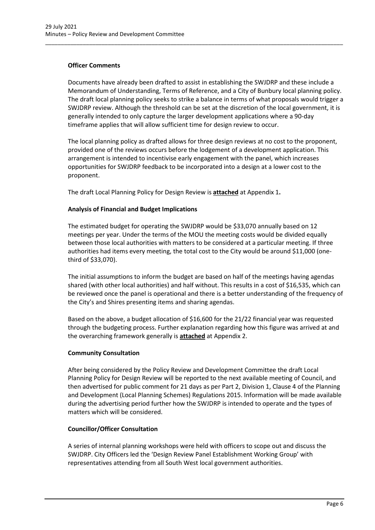# **Officer Comments**

Documents have already been drafted to assist in establishing the SWJDRP and these include a Memorandum of Understanding, Terms of Reference, and a City of Bunbury local planning policy. The draft local planning policy seeks to strike a balance in terms of what proposals would trigger a SWJDRP review. Although the threshold can be set at the discretion of the local government, it is generally intended to only capture the larger development applications where a 90-day timeframe applies that will allow sufficient time for design review to occur.

\_\_\_\_\_\_\_\_\_\_\_\_\_\_\_\_\_\_\_\_\_\_\_\_\_\_\_\_\_\_\_\_\_\_\_\_\_\_\_\_\_\_\_\_\_\_\_\_\_\_\_\_\_\_\_\_\_\_\_\_\_\_\_\_\_\_\_\_\_\_\_\_\_\_\_\_\_\_\_\_\_\_\_\_\_\_\_\_\_\_\_\_\_\_\_

The local planning policy as drafted allows for three design reviews at no cost to the proponent, provided one of the reviews occurs before the lodgement of a development application. This arrangement is intended to incentivise early engagement with the panel, which increases opportunities for SWJDRP feedback to be incorporated into a design at a lower cost to the proponent.

The draft Local Planning Policy for Design Review is **attached** at Appendix 1**.**

# **Analysis of Financial and Budget Implications**

The estimated budget for operating the SWJDRP would be \$33,070 annually based on 12 meetings per year. Under the terms of the MOU the meeting costs would be divided equally between those local authorities with matters to be considered at a particular meeting. If three authorities had items every meeting, the total cost to the City would be around \$11,000 (onethird of \$33,070).

The initial assumptions to inform the budget are based on half of the meetings having agendas shared (with other local authorities) and half without. This results in a cost of \$16,535, which can be reviewed once the panel is operational and there is a better understanding of the frequency of the City's and Shires presenting items and sharing agendas.

Based on the above, a budget allocation of \$16,600 for the 21/22 financial year was requested through the budgeting process. Further explanation regarding how this figure was arrived at and the overarching framework generally is **attached** at Appendix 2.

# **Community Consultation**

After being considered by the Policy Review and Development Committee the draft Local Planning Policy for Design Review will be reported to the next available meeting of Council, and then advertised for public comment for 21 days as per Part 2, Division 1, Clause 4 of the Planning and Development (Local Planning Schemes) Regulations 2015. Information will be made available during the advertising period further how the SWJDRP is intended to operate and the types of matters which will be considered.

# **Councillor/Officer Consultation**

A series of internal planning workshops were held with officers to scope out and discuss the SWJDRP. City Officers led the 'Design Review Panel Establishment Working Group' with representatives attending from all South West local government authorities.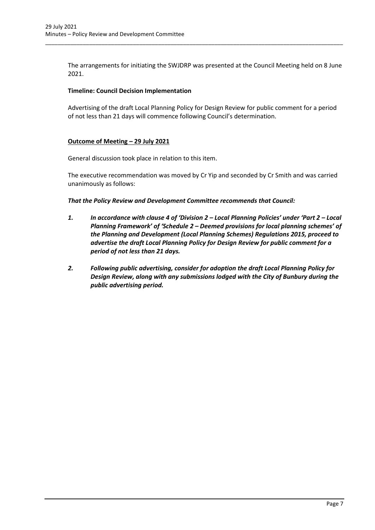The arrangements for initiating the SWJDRP was presented at the Council Meeting held on 8 June 2021.

\_\_\_\_\_\_\_\_\_\_\_\_\_\_\_\_\_\_\_\_\_\_\_\_\_\_\_\_\_\_\_\_\_\_\_\_\_\_\_\_\_\_\_\_\_\_\_\_\_\_\_\_\_\_\_\_\_\_\_\_\_\_\_\_\_\_\_\_\_\_\_\_\_\_\_\_\_\_\_\_\_\_\_\_\_\_\_\_\_\_\_\_\_\_\_

# **Timeline: Council Decision Implementation**

Advertising of the draft Local Planning Policy for Design Review for public comment for a period of not less than 21 days will commence following Council's determination.

# **Outcome of Meeting – 29 July 2021**

General discussion took place in relation to this item.

The executive recommendation was moved by Cr Yip and seconded by Cr Smith and was carried unanimously as follows:

*That the Policy Review and Development Committee recommends that Council:*

- *1. In accordance with clause 4 of 'Division 2 – Local Planning Policies' under 'Part 2 – Local Planning Framework' of 'Schedule 2 – Deemed provisions for local planning schemes' of the Planning and Development (Local Planning Schemes) Regulations 2015, proceed to advertise the draft Local Planning Policy for Design Review for public comment for a period of not less than 21 days.*
- *2. Following public advertising, consider for adoption the draft Local Planning Policy for Design Review, along with any submissions lodged with the City of Bunbury during the public advertising period.*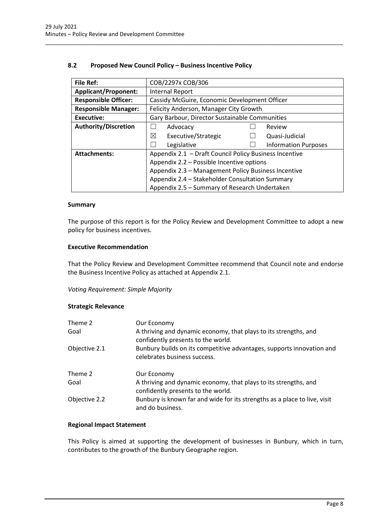# **8.2 Proposed New Council Policy – Business Incentive Policy**

| <b>File Ref:</b>                                                              | COB/2297x COB/306                                   |  |                |  |  |
|-------------------------------------------------------------------------------|-----------------------------------------------------|--|----------------|--|--|
| <b>Applicant/Proponent:</b>                                                   | Internal Report                                     |  |                |  |  |
| <b>Responsible Officer:</b>                                                   | Cassidy McGuire, Economic Development Officer       |  |                |  |  |
| <b>Responsible Manager:</b>                                                   | Felicity Anderson, Manager City Growth              |  |                |  |  |
| <b>Executive:</b>                                                             | Gary Barbour, Director Sustainable Communities      |  |                |  |  |
| <b>Authority/Discretion</b>                                                   | Advocacy<br>Review                                  |  |                |  |  |
|                                                                               | ⊠<br>Executive/Strategic                            |  | Quasi-Judicial |  |  |
|                                                                               | Legislative<br><b>Information Purposes</b>          |  |                |  |  |
| Appendix 2.1 - Draft Council Policy Business Incentive<br><b>Attachments:</b> |                                                     |  |                |  |  |
|                                                                               | Appendix 2.2 - Possible Incentive options           |  |                |  |  |
|                                                                               | Appendix 2.3 - Management Policy Business Incentive |  |                |  |  |
|                                                                               | Appendix 2.4 - Stakeholder Consultation Summary     |  |                |  |  |
|                                                                               | Appendix 2.5 - Summary of Research Undertaken       |  |                |  |  |

<span id="page-8-0"></span>\_\_\_\_\_\_\_\_\_\_\_\_\_\_\_\_\_\_\_\_\_\_\_\_\_\_\_\_\_\_\_\_\_\_\_\_\_\_\_\_\_\_\_\_\_\_\_\_\_\_\_\_\_\_\_\_\_\_\_\_\_\_\_\_\_\_\_\_\_\_\_\_\_\_\_\_\_\_\_\_\_\_\_\_\_\_\_\_\_\_\_\_\_\_\_

#### **Summary**

The purpose of this report is for the Policy Review and Development Committee to adopt a new policy for business incentives.

#### **Executive Recommendation**

That the Policy Review and Development Committee recommend that Council note and endorse the Business Incentive Policy as attached at Appendix 2.1.

*Voting Requirement: Simple Majority* 

# **Strategic Relevance**

| Theme 2       | Our Economy                                                                                            |
|---------------|--------------------------------------------------------------------------------------------------------|
| Goal          | A thriving and dynamic economy, that plays to its strengths, and<br>confidently presents to the world. |
| Objective 2.1 | Bunbury builds on its competitive advantages, supports innovation and<br>celebrates business success.  |
| Theme 2       | Our Economy                                                                                            |
| Goal          | A thriving and dynamic economy, that plays to its strengths, and<br>confidently presents to the world. |
| Objective 2.2 | Bunbury is known far and wide for its strengths as a place to live, visit<br>and do business.          |

#### **Regional Impact Statement**

This Policy is aimed at supporting the development of businesses in Bunbury, which in turn, contributes to the growth of the Bunbury Geographe region.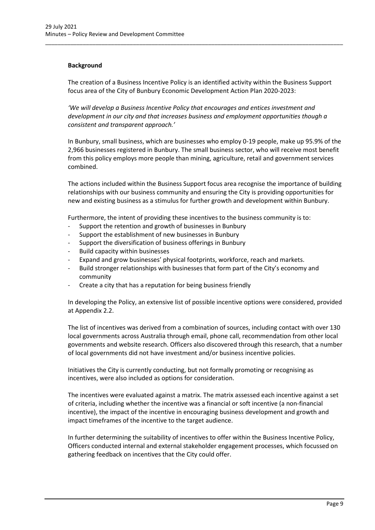# **Background**

The creation of a Business Incentive Policy is an identified activity within the Business Support focus area of the City of Bunbury Economic Development Action Plan 2020-2023:

\_\_\_\_\_\_\_\_\_\_\_\_\_\_\_\_\_\_\_\_\_\_\_\_\_\_\_\_\_\_\_\_\_\_\_\_\_\_\_\_\_\_\_\_\_\_\_\_\_\_\_\_\_\_\_\_\_\_\_\_\_\_\_\_\_\_\_\_\_\_\_\_\_\_\_\_\_\_\_\_\_\_\_\_\_\_\_\_\_\_\_\_\_\_\_

*'We will develop a Business Incentive Policy that encourages and entices investment and development in our city and that increases business and employment opportunities though a consistent and transparent approach.'*

In Bunbury, small business, which are businesses who employ 0-19 people, make up 95.9% of the 2,966 businesses registered in Bunbury. The small business sector, who will receive most benefit from this policy employs more people than mining, agriculture, retail and government services combined.

The actions included within the Business Support focus area recognise the importance of building relationships with our business community and ensuring the City is providing opportunities for new and existing business as a stimulus for further growth and development within Bunbury.

Furthermore, the intent of providing these incentives to the business community is to:

- Support the retention and growth of businesses in Bunbury
- Support the establishment of new businesses in Bunbury
- Support the diversification of business offerings in Bunbury
- Build capacity within businesses
- Expand and grow businesses' physical footprints, workforce, reach and markets.
- Build stronger relationships with businesses that form part of the City's economy and community
- Create a city that has a reputation for being business friendly

In developing the Policy, an extensive list of possible incentive options were considered, provided at Appendix 2.2.

The list of incentives was derived from a combination of sources, including contact with over 130 local governments across Australia through email, phone call, recommendation from other local governments and website research. Officers also discovered through this research, that a number of local governments did not have investment and/or business incentive policies.

Initiatives the City is currently conducting, but not formally promoting or recognising as incentives, were also included as options for consideration.

The incentives were evaluated against a matrix. The matrix assessed each incentive against a set of criteria, including whether the incentive was a financial or soft incentive (a non-financial incentive), the impact of the incentive in encouraging business development and growth and impact timeframes of the incentive to the target audience.

In further determining the suitability of incentives to offer within the Business Incentive Policy, Officers conducted internal and external stakeholder engagement processes, which focussed on gathering feedback on incentives that the City could offer.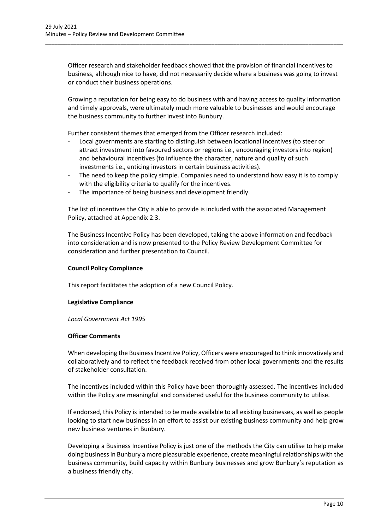Officer research and stakeholder feedback showed that the provision of financial incentives to business, although nice to have, did not necessarily decide where a business was going to invest or conduct their business operations.

\_\_\_\_\_\_\_\_\_\_\_\_\_\_\_\_\_\_\_\_\_\_\_\_\_\_\_\_\_\_\_\_\_\_\_\_\_\_\_\_\_\_\_\_\_\_\_\_\_\_\_\_\_\_\_\_\_\_\_\_\_\_\_\_\_\_\_\_\_\_\_\_\_\_\_\_\_\_\_\_\_\_\_\_\_\_\_\_\_\_\_\_\_\_\_

Growing a reputation for being easy to do business with and having access to quality information and timely approvals, were ultimately much more valuable to businesses and would encourage the business community to further invest into Bunbury.

Further consistent themes that emerged from the Officer research included:

- Local governments are starting to distinguish between locational incentives (to steer or attract investment into favoured sectors or regions i.e., encouraging investors into region) and behavioural incentives (to influence the character, nature and quality of such investments i.e., enticing investors in certain business activities).
- The need to keep the policy simple. Companies need to understand how easy it is to comply with the eligibility criteria to qualify for the incentives.
- The importance of being business and development friendly.

The list of incentives the City is able to provide is included with the associated Management Policy, attached at Appendix 2.3.

The Business Incentive Policy has been developed, taking the above information and feedback into consideration and is now presented to the Policy Review Development Committee for consideration and further presentation to Council.

# **Council Policy Compliance**

This report facilitates the adoption of a new Council Policy.

# **Legislative Compliance**

*Local Government Act 1995*

# **Officer Comments**

When developing the Business Incentive Policy, Officers were encouraged to think innovatively and collaboratively and to reflect the feedback received from other local governments and the results of stakeholder consultation.

The incentives included within this Policy have been thoroughly assessed. The incentives included within the Policy are meaningful and considered useful for the business community to utilise.

If endorsed, this Policy is intended to be made available to all existing businesses, as well as people looking to start new business in an effort to assist our existing business community and help grow new business ventures in Bunbury.

Developing a Business Incentive Policy is just one of the methods the City can utilise to help make doing business in Bunbury a more pleasurable experience, create meaningful relationships with the business community, build capacity within Bunbury businesses and grow Bunbury's reputation as a business friendly city.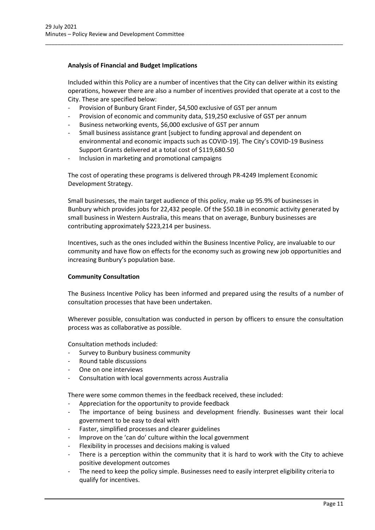# **Analysis of Financial and Budget Implications**

Included within this Policy are a number of incentives that the City can deliver within its existing operations, however there are also a number of incentives provided that operate at a cost to the City. These are specified below:

\_\_\_\_\_\_\_\_\_\_\_\_\_\_\_\_\_\_\_\_\_\_\_\_\_\_\_\_\_\_\_\_\_\_\_\_\_\_\_\_\_\_\_\_\_\_\_\_\_\_\_\_\_\_\_\_\_\_\_\_\_\_\_\_\_\_\_\_\_\_\_\_\_\_\_\_\_\_\_\_\_\_\_\_\_\_\_\_\_\_\_\_\_\_\_

- Provision of Bunbury Grant Finder, \$4,500 exclusive of GST per annum
- Provision of economic and community data, \$19,250 exclusive of GST per annum
- Business networking events, \$6,000 exclusive of GST per annum
- Small business assistance grant [subject to funding approval and dependent on environmental and economic impacts such as COVID-19]. The City's COVID-19 Business Support Grants delivered at a total cost of \$119,680.50
- Inclusion in marketing and promotional campaigns

The cost of operating these programs is delivered through PR-4249 Implement Economic Development Strategy.

Small businesses, the main target audience of this policy, make up 95.9% of businesses in Bunbury which provides jobs for 22,432 people. Of the \$50.1B in economic activity generated by small business in Western Australia, this means that on average, Bunbury businesses are contributing approximately \$223,214 per business.

Incentives, such as the ones included within the Business Incentive Policy, are invaluable to our community and have flow on effects for the economy such as growing new job opportunities and increasing Bunbury's population base.

# **Community Consultation**

The Business Incentive Policy has been informed and prepared using the results of a number of consultation processes that have been undertaken.

Wherever possible, consultation was conducted in person by officers to ensure the consultation process was as collaborative as possible.

Consultation methods included:

- Survey to Bunbury business community
- Round table discussions
- One on one interviews
- Consultation with local governments across Australia

There were some common themes in the feedback received, these included:

- Appreciation for the opportunity to provide feedback
- The importance of being business and development friendly. Businesses want their local government to be easy to deal with
- Faster, simplified processes and clearer guidelines
- Improve on the 'can do' culture within the local government
- Flexibility in processes and decisions making is valued
- There is a perception within the community that it is hard to work with the City to achieve positive development outcomes
- The need to keep the policy simple. Businesses need to easily interpret eligibility criteria to qualify for incentives.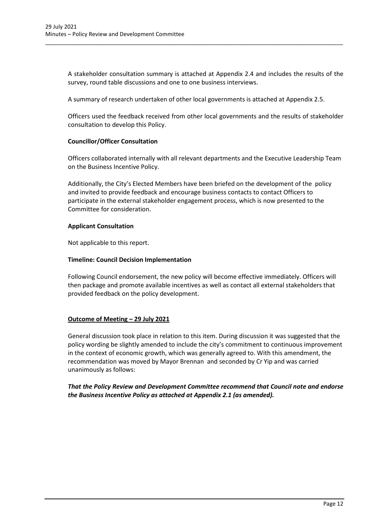A stakeholder consultation summary is attached at Appendix 2.4 and includes the results of the survey, round table discussions and one to one business interviews.

A summary of research undertaken of other local governments is attached at Appendix 2.5.

\_\_\_\_\_\_\_\_\_\_\_\_\_\_\_\_\_\_\_\_\_\_\_\_\_\_\_\_\_\_\_\_\_\_\_\_\_\_\_\_\_\_\_\_\_\_\_\_\_\_\_\_\_\_\_\_\_\_\_\_\_\_\_\_\_\_\_\_\_\_\_\_\_\_\_\_\_\_\_\_\_\_\_\_\_\_\_\_\_\_\_\_\_\_\_

Officers used the feedback received from other local governments and the results of stakeholder consultation to develop this Policy.

# **Councillor/Officer Consultation**

Officers collaborated internally with all relevant departments and the Executive Leadership Team on the Business Incentive Policy.

Additionally, the City's Elected Members have been briefed on the development of the policy and invited to provide feedback and encourage business contacts to contact Officers to participate in the external stakeholder engagement process, which is now presented to the Committee for consideration.

# **Applicant Consultation**

Not applicable to this report.

# **Timeline: Council Decision Implementation**

Following Council endorsement, the new policy will become effective immediately. Officers will then package and promote available incentives as well as contact all external stakeholders that provided feedback on the policy development.

# **Outcome of Meeting – 29 July 2021**

General discussion took place in relation to this item. During discussion it was suggested that the policy wording be slightly amended to include the city's commitment to continuous improvement in the context of economic growth, which was generally agreed to. With this amendment, the recommendation was moved by Mayor Brennan and seconded by Cr Yip and was carried unanimously as follows:

*That the Policy Review and Development Committee recommend that Council note and endorse the Business Incentive Policy as attached at Appendix 2.1 (as amended).*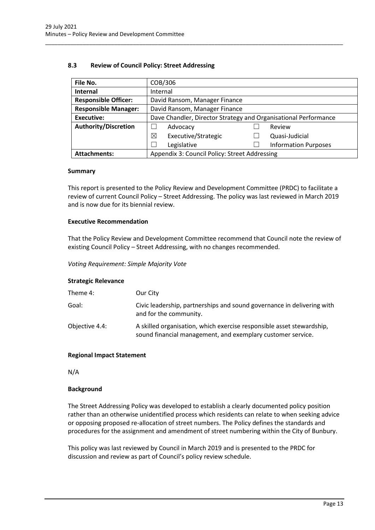# **8.3 Review of Council Policy: Street Addressing**

| File No.                    |                                                                 | COB/306                       |  |                             |  |  |
|-----------------------------|-----------------------------------------------------------------|-------------------------------|--|-----------------------------|--|--|
| Internal                    |                                                                 | Internal                      |  |                             |  |  |
| <b>Responsible Officer:</b> |                                                                 | David Ransom, Manager Finance |  |                             |  |  |
| <b>Responsible Manager:</b> |                                                                 | David Ransom, Manager Finance |  |                             |  |  |
| <b>Executive:</b>           | Dave Chandler, Director Strategy and Organisational Performance |                               |  |                             |  |  |
| <b>Authority/Discretion</b> |                                                                 | Advocacy                      |  | Review                      |  |  |
|                             | ⊠                                                               | Executive/Strategic           |  | Quasi-Judicial              |  |  |
|                             |                                                                 | Legislative                   |  | <b>Information Purposes</b> |  |  |
| <b>Attachments:</b>         | Appendix 3: Council Policy: Street Addressing                   |                               |  |                             |  |  |

<span id="page-13-0"></span>\_\_\_\_\_\_\_\_\_\_\_\_\_\_\_\_\_\_\_\_\_\_\_\_\_\_\_\_\_\_\_\_\_\_\_\_\_\_\_\_\_\_\_\_\_\_\_\_\_\_\_\_\_\_\_\_\_\_\_\_\_\_\_\_\_\_\_\_\_\_\_\_\_\_\_\_\_\_\_\_\_\_\_\_\_\_\_\_\_\_\_\_\_\_\_

# **Summary**

This report is presented to the Policy Review and Development Committee (PRDC) to facilitate a review of current Council Policy – Street Addressing. The policy was last reviewed in March 2019 and is now due for its biennial review.

# **Executive Recommendation**

That the Policy Review and Development Committee recommend that Council note the review of existing Council Policy – Street Addressing, with no changes recommended.

*Voting Requirement: Simple Majority Vote*

# **Strategic Relevance**

| Theme 4:       | Our City                                                                                                                             |
|----------------|--------------------------------------------------------------------------------------------------------------------------------------|
| Goal:          | Civic leadership, partnerships and sound governance in delivering with<br>and for the community.                                     |
| Objective 4.4: | A skilled organisation, which exercise responsible asset stewardship,<br>sound financial management, and exemplary customer service. |

# **Regional Impact Statement**

N/A

# **Background**

The Street Addressing Policy was developed to establish a clearly documented policy position rather than an otherwise unidentified process which residents can relate to when seeking advice or opposing proposed re-allocation of street numbers. The Policy defines the standards and procedures for the assignment and amendment of street numbering within the City of Bunbury.

This policy was last reviewed by Council in March 2019 and is presented to the PRDC for discussion and review as part of Council's policy review schedule.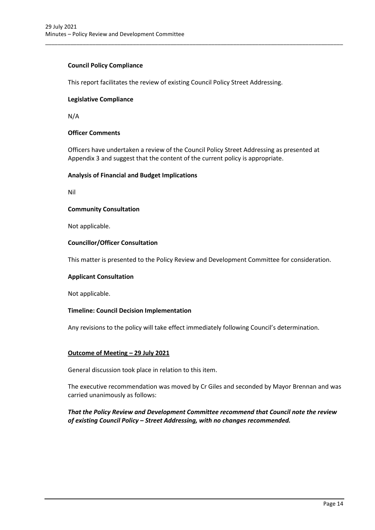# **Council Policy Compliance**

This report facilitates the review of existing Council Policy Street Addressing.

# **Legislative Compliance**

N/A

# **Officer Comments**

Officers have undertaken a review of the Council Policy Street Addressing as presented at Appendix 3 and suggest that the content of the current policy is appropriate.

\_\_\_\_\_\_\_\_\_\_\_\_\_\_\_\_\_\_\_\_\_\_\_\_\_\_\_\_\_\_\_\_\_\_\_\_\_\_\_\_\_\_\_\_\_\_\_\_\_\_\_\_\_\_\_\_\_\_\_\_\_\_\_\_\_\_\_\_\_\_\_\_\_\_\_\_\_\_\_\_\_\_\_\_\_\_\_\_\_\_\_\_\_\_\_

# **Analysis of Financial and Budget Implications**

Nil

# **Community Consultation**

Not applicable.

# **Councillor/Officer Consultation**

This matter is presented to the Policy Review and Development Committee for consideration.

#### **Applicant Consultation**

Not applicable.

# **Timeline: Council Decision Implementation**

Any revisions to the policy will take effect immediately following Council's determination.

# **Outcome of Meeting – 29 July 2021**

General discussion took place in relation to this item.

The executive recommendation was moved by Cr Giles and seconded by Mayor Brennan and was carried unanimously as follows:

# *That the Policy Review and Development Committee recommend that Council note the review of existing Council Policy – Street Addressing, with no changes recommended.*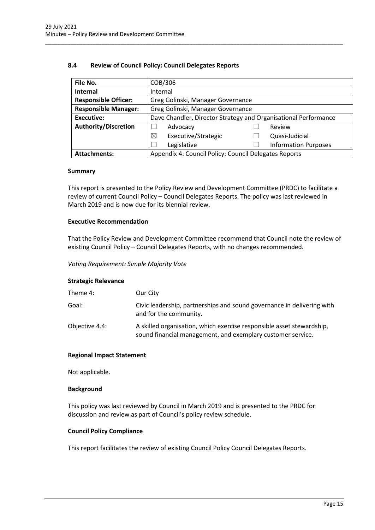# **8.4 Review of Council Policy: Council Delegates Reports**

| File No.                    |                                                       | COB/306                                                         |  |                             |  |  |
|-----------------------------|-------------------------------------------------------|-----------------------------------------------------------------|--|-----------------------------|--|--|
| <b>Internal</b>             | Internal                                              |                                                                 |  |                             |  |  |
| <b>Responsible Officer:</b> |                                                       | Greg Golinski, Manager Governance                               |  |                             |  |  |
| <b>Responsible Manager:</b> |                                                       | Greg Golinski, Manager Governance                               |  |                             |  |  |
| <b>Executive:</b>           |                                                       | Dave Chandler, Director Strategy and Organisational Performance |  |                             |  |  |
| <b>Authority/Discretion</b> |                                                       | Advocacy                                                        |  | Review                      |  |  |
|                             | ⊠                                                     | Executive/Strategic                                             |  | Quasi-Judicial              |  |  |
|                             |                                                       | Legislative                                                     |  | <b>Information Purposes</b> |  |  |
| <b>Attachments:</b>         | Appendix 4: Council Policy: Council Delegates Reports |                                                                 |  |                             |  |  |

<span id="page-15-0"></span>\_\_\_\_\_\_\_\_\_\_\_\_\_\_\_\_\_\_\_\_\_\_\_\_\_\_\_\_\_\_\_\_\_\_\_\_\_\_\_\_\_\_\_\_\_\_\_\_\_\_\_\_\_\_\_\_\_\_\_\_\_\_\_\_\_\_\_\_\_\_\_\_\_\_\_\_\_\_\_\_\_\_\_\_\_\_\_\_\_\_\_\_\_\_\_

#### **Summary**

This report is presented to the Policy Review and Development Committee (PRDC) to facilitate a review of current Council Policy – Council Delegates Reports. The policy was last reviewed in March 2019 and is now due for its biennial review.

# **Executive Recommendation**

That the Policy Review and Development Committee recommend that Council note the review of existing Council Policy – Council Delegates Reports, with no changes recommended.

*Voting Requirement: Simple Majority Vote*

# **Strategic Relevance**

| Theme 4:       | Our City                                                                                                                             |
|----------------|--------------------------------------------------------------------------------------------------------------------------------------|
| Goal:          | Civic leadership, partnerships and sound governance in delivering with<br>and for the community.                                     |
| Objective 4.4: | A skilled organisation, which exercise responsible asset stewardship,<br>sound financial management, and exemplary customer service. |

#### **Regional Impact Statement**

Not applicable.

# **Background**

This policy was last reviewed by Council in March 2019 and is presented to the PRDC for discussion and review as part of Council's policy review schedule.

# **Council Policy Compliance**

This report facilitates the review of existing Council Policy Council Delegates Reports.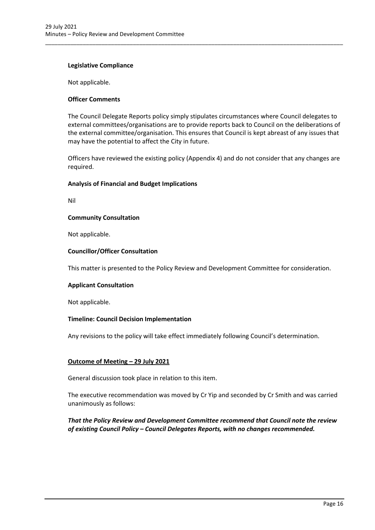# **Legislative Compliance**

Not applicable.

# **Officer Comments**

The Council Delegate Reports policy simply stipulates circumstances where Council delegates to external committees/organisations are to provide reports back to Council on the deliberations of the external committee/organisation. This ensures that Council is kept abreast of any issues that may have the potential to affect the City in future.

\_\_\_\_\_\_\_\_\_\_\_\_\_\_\_\_\_\_\_\_\_\_\_\_\_\_\_\_\_\_\_\_\_\_\_\_\_\_\_\_\_\_\_\_\_\_\_\_\_\_\_\_\_\_\_\_\_\_\_\_\_\_\_\_\_\_\_\_\_\_\_\_\_\_\_\_\_\_\_\_\_\_\_\_\_\_\_\_\_\_\_\_\_\_\_

Officers have reviewed the existing policy (Appendix 4) and do not consider that any changes are required.

# **Analysis of Financial and Budget Implications**

Nil

# **Community Consultation**

Not applicable.

# **Councillor/Officer Consultation**

This matter is presented to the Policy Review and Development Committee for consideration.

# **Applicant Consultation**

Not applicable.

# **Timeline: Council Decision Implementation**

Any revisions to the policy will take effect immediately following Council's determination.

# **Outcome of Meeting – 29 July 2021**

General discussion took place in relation to this item.

The executive recommendation was moved by Cr Yip and seconded by Cr Smith and was carried unanimously as follows:

*That the Policy Review and Development Committee recommend that Council note the review of existing Council Policy – Council Delegates Reports, with no changes recommended.*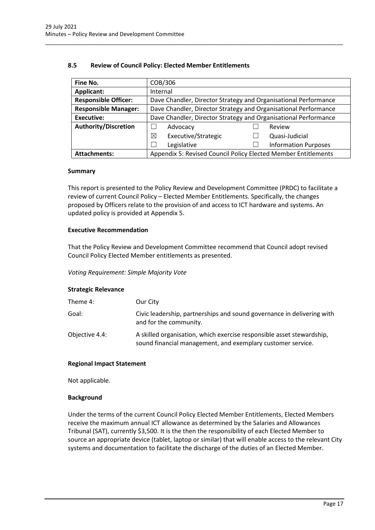# **8.5 Review of Council Policy: Elected Member Entitlements**

| Fine No.                    | COB/306                                                         |  |                             |
|-----------------------------|-----------------------------------------------------------------|--|-----------------------------|
| Applicant:                  | Internal                                                        |  |                             |
| <b>Responsible Officer:</b> | Dave Chandler, Director Strategy and Organisational Performance |  |                             |
| <b>Responsible Manager:</b> | Dave Chandler, Director Strategy and Organisational Performance |  |                             |
| <b>Executive:</b>           | Dave Chandler, Director Strategy and Organisational Performance |  |                             |
| <b>Authority/Discretion</b> | Advocacy                                                        |  | Review                      |
|                             | Executive/Strategic<br>⊠                                        |  | Quasi-Judicial              |
|                             | Legislative                                                     |  | <b>Information Purposes</b> |
| <b>Attachments:</b>         | Appendix 5: Revised Council Policy Elected Member Entitlements  |  |                             |

<span id="page-17-0"></span>\_\_\_\_\_\_\_\_\_\_\_\_\_\_\_\_\_\_\_\_\_\_\_\_\_\_\_\_\_\_\_\_\_\_\_\_\_\_\_\_\_\_\_\_\_\_\_\_\_\_\_\_\_\_\_\_\_\_\_\_\_\_\_\_\_\_\_\_\_\_\_\_\_\_\_\_\_\_\_\_\_\_\_\_\_\_\_\_\_\_\_\_\_\_\_

# **Summary**

This report is presented to the Policy Review and Development Committee (PRDC) to facilitate a review of current Council Policy – Elected Member Entitlements. Specifically, the changes proposed by Officers relate to the provision of and access to ICT hardware and systems. An updated policy is provided at Appendix 5.

# **Executive Recommendation**

That the Policy Review and Development Committee recommend that Council adopt revised Council Policy Elected Member entitlements as presented.

# *Voting Requirement: Simple Majority Vote*

# **Strategic Relevance**

| Theme 4:       | Our City                                                                                                                             |
|----------------|--------------------------------------------------------------------------------------------------------------------------------------|
| Goal:          | Civic leadership, partnerships and sound governance in delivering with<br>and for the community.                                     |
| Objective 4.4: | A skilled organisation, which exercise responsible asset stewardship,<br>sound financial management, and exemplary customer service. |

# **Regional Impact Statement**

Not applicable.

# **Background**

Under the terms of the current Council Policy Elected Member Entitlements, Elected Members receive the maximum annual ICT allowance as determined by the Salaries and Allowances Tribunal (SAT), currently \$3,500. It is the then the responsibility of each Elected Member to source an appropriate device (tablet, laptop or similar) that will enable access to the relevant City systems and documentation to facilitate the discharge of the duties of an Elected Member.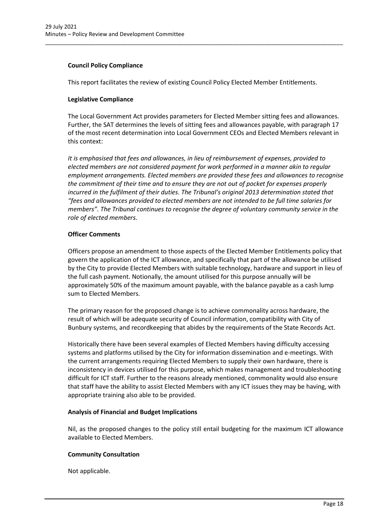# **Council Policy Compliance**

This report facilitates the review of existing Council Policy Elected Member Entitlements.

\_\_\_\_\_\_\_\_\_\_\_\_\_\_\_\_\_\_\_\_\_\_\_\_\_\_\_\_\_\_\_\_\_\_\_\_\_\_\_\_\_\_\_\_\_\_\_\_\_\_\_\_\_\_\_\_\_\_\_\_\_\_\_\_\_\_\_\_\_\_\_\_\_\_\_\_\_\_\_\_\_\_\_\_\_\_\_\_\_\_\_\_\_\_\_

# **Legislative Compliance**

The Local Government Act provides parameters for Elected Member sitting fees and allowances. Further, the SAT determines the levels of sitting fees and allowances payable, with paragraph 17 of the most recent determination into Local Government CEOs and Elected Members relevant in this context:

*It is emphasised that fees and allowances, in lieu of reimbursement of expenses, provided to elected members are not considered payment for work performed in a manner akin to regular employment arrangements. Elected members are provided these fees and allowances to recognise the commitment of their time and to ensure they are not out of pocket for expenses properly incurred in the fulfilment of their duties. The Tribunal's original 2013 determination stated that "fees and allowances provided to elected members are not intended to be full time salaries for members". The Tribunal continues to recognise the degree of voluntary community service in the role of elected members.* 

# **Officer Comments**

Officers propose an amendment to those aspects of the Elected Member Entitlements policy that govern the application of the ICT allowance, and specifically that part of the allowance be utilised by the City to provide Elected Members with suitable technology, hardware and support in lieu of the full cash payment. Notionally, the amount utilised for this purpose annually will be approximately 50% of the maximum amount payable, with the balance payable as a cash lump sum to Elected Members.

The primary reason for the proposed change is to achieve commonality across hardware, the result of which will be adequate security of Council information, compatibility with City of Bunbury systems, and recordkeeping that abides by the requirements of the State Records Act.

Historically there have been several examples of Elected Members having difficulty accessing systems and platforms utilised by the City for information dissemination and e-meetings. With the current arrangements requiring Elected Members to supply their own hardware, there is inconsistency in devices utilised for this purpose, which makes management and troubleshooting difficult for ICT staff. Further to the reasons already mentioned, commonality would also ensure that staff have the ability to assist Elected Members with any ICT issues they may be having, with appropriate training also able to be provided.

# **Analysis of Financial and Budget Implications**

Nil, as the proposed changes to the policy still entail budgeting for the maximum ICT allowance available to Elected Members.

# **Community Consultation**

Not applicable.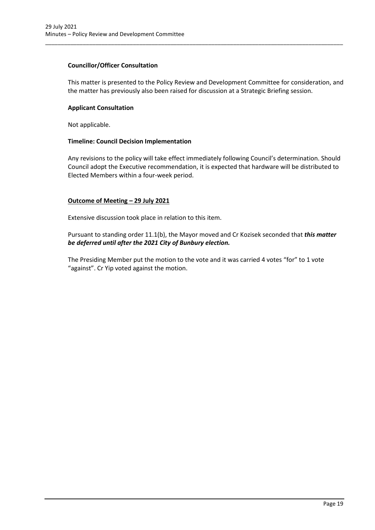# **Councillor/Officer Consultation**

This matter is presented to the Policy Review and Development Committee for consideration, and the matter has previously also been raised for discussion at a Strategic Briefing session.

\_\_\_\_\_\_\_\_\_\_\_\_\_\_\_\_\_\_\_\_\_\_\_\_\_\_\_\_\_\_\_\_\_\_\_\_\_\_\_\_\_\_\_\_\_\_\_\_\_\_\_\_\_\_\_\_\_\_\_\_\_\_\_\_\_\_\_\_\_\_\_\_\_\_\_\_\_\_\_\_\_\_\_\_\_\_\_\_\_\_\_\_\_\_\_

# **Applicant Consultation**

Not applicable.

# **Timeline: Council Decision Implementation**

Any revisions to the policy will take effect immediately following Council's determination. Should Council adopt the Executive recommendation, it is expected that hardware will be distributed to Elected Members within a four-week period.

# **Outcome of Meeting – 29 July 2021**

Extensive discussion took place in relation to this item.

Pursuant to standing order 11.1(b), the Mayor moved and Cr Kozisek seconded that *this matter be deferred until after the 2021 City of Bunbury election.*

The Presiding Member put the motion to the vote and it was carried 4 votes "for" to 1 vote "against". Cr Yip voted against the motion.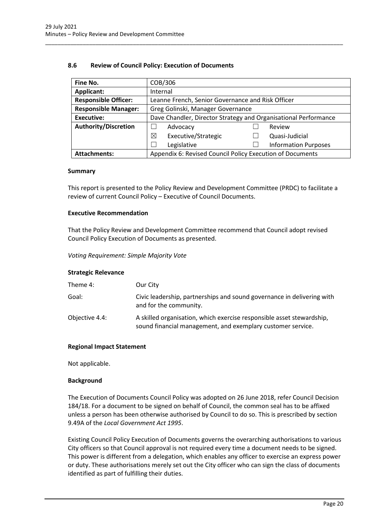# **8.6 Review of Council Policy: Execution of Documents**

| Fine No.                    | COB/306                                                         |  |                             |
|-----------------------------|-----------------------------------------------------------------|--|-----------------------------|
| Applicant:                  | Internal                                                        |  |                             |
| <b>Responsible Officer:</b> | Leanne French, Senior Governance and Risk Officer               |  |                             |
| <b>Responsible Manager:</b> | Greg Golinski, Manager Governance                               |  |                             |
| <b>Executive:</b>           | Dave Chandler, Director Strategy and Organisational Performance |  |                             |
| <b>Authority/Discretion</b> | Advocacy                                                        |  | Review                      |
|                             | Executive/Strategic<br>⊠                                        |  | Quasi-Judicial              |
|                             | Legislative                                                     |  | <b>Information Purposes</b> |
| <b>Attachments:</b>         | Appendix 6: Revised Council Policy Execution of Documents       |  |                             |

<span id="page-20-0"></span>\_\_\_\_\_\_\_\_\_\_\_\_\_\_\_\_\_\_\_\_\_\_\_\_\_\_\_\_\_\_\_\_\_\_\_\_\_\_\_\_\_\_\_\_\_\_\_\_\_\_\_\_\_\_\_\_\_\_\_\_\_\_\_\_\_\_\_\_\_\_\_\_\_\_\_\_\_\_\_\_\_\_\_\_\_\_\_\_\_\_\_\_\_\_\_

#### **Summary**

This report is presented to the Policy Review and Development Committee (PRDC) to facilitate a review of current Council Policy – Executive of Council Documents.

# **Executive Recommendation**

That the Policy Review and Development Committee recommend that Council adopt revised Council Policy Execution of Documents as presented.

*Voting Requirement: Simple Majority Vote*

# **Strategic Relevance**

| Theme 4:       | Our City                                                                                                                             |
|----------------|--------------------------------------------------------------------------------------------------------------------------------------|
| Goal:          | Civic leadership, partnerships and sound governance in delivering with<br>and for the community.                                     |
| Objective 4.4: | A skilled organisation, which exercise responsible asset stewardship,<br>sound financial management, and exemplary customer service. |

# **Regional Impact Statement**

Not applicable.

# **Background**

The Execution of Documents Council Policy was adopted on 26 June 2018, refer Council Decision 184/18. For a document to be signed on behalf of Council, the common seal has to be affixed unless a person has been otherwise authorised by Council to do so. This is prescribed by section 9.49A of the *Local Government Act 1995*.

Existing Council Policy Execution of Documents governs the overarching authorisations to various City officers so that Council approval is not required every time a document needs to be signed. This power is different from a delegation, which enables any officer to exercise an express power or duty. These authorisations merely set out the City officer who can sign the class of documents identified as part of fulfilling their duties.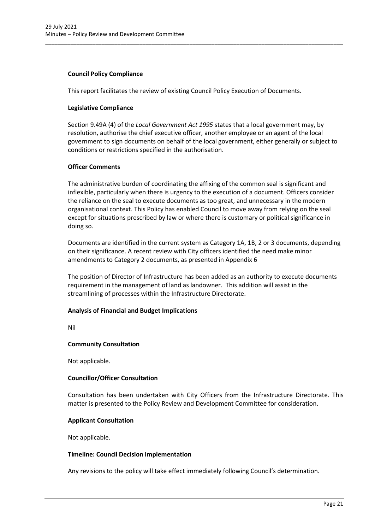# **Council Policy Compliance**

This report facilitates the review of existing Council Policy Execution of Documents.

\_\_\_\_\_\_\_\_\_\_\_\_\_\_\_\_\_\_\_\_\_\_\_\_\_\_\_\_\_\_\_\_\_\_\_\_\_\_\_\_\_\_\_\_\_\_\_\_\_\_\_\_\_\_\_\_\_\_\_\_\_\_\_\_\_\_\_\_\_\_\_\_\_\_\_\_\_\_\_\_\_\_\_\_\_\_\_\_\_\_\_\_\_\_\_

# **Legislative Compliance**

Section 9.49A (4) of the *Local Government Act 1995* states that a local government may, by resolution, authorise the chief executive officer, another employee or an agent of the local government to sign documents on behalf of the local government, either generally or subject to conditions or restrictions specified in the authorisation.

# **Officer Comments**

The administrative burden of coordinating the affixing of the common seal is significant and inflexible, particularly when there is urgency to the execution of a document. Officers consider the reliance on the seal to execute documents as too great, and unnecessary in the modern organisational context. This Policy has enabled Council to move away from relying on the seal except for situations prescribed by law or where there is customary or political significance in doing so.

Documents are identified in the current system as Category 1A, 1B, 2 or 3 documents, depending on their significance. A recent review with City officers identified the need make minor amendments to Category 2 documents, as presented in Appendix 6

The position of Director of Infrastructure has been added as an authority to execute documents requirement in the management of land as landowner. This addition will assist in the streamlining of processes within the Infrastructure Directorate.

# **Analysis of Financial and Budget Implications**

Nil

# **Community Consultation**

Not applicable.

# **Councillor/Officer Consultation**

Consultation has been undertaken with City Officers from the Infrastructure Directorate. This matter is presented to the Policy Review and Development Committee for consideration.

# **Applicant Consultation**

Not applicable.

# **Timeline: Council Decision Implementation**

Any revisions to the policy will take effect immediately following Council's determination.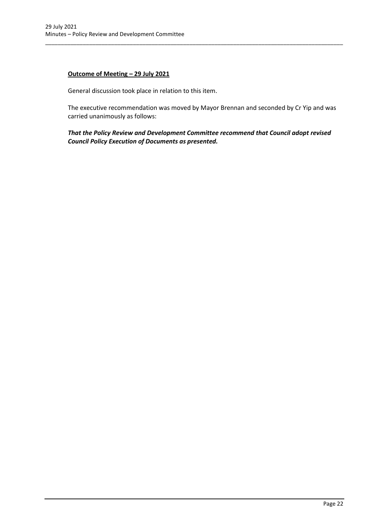# **Outcome of Meeting – 29 July 2021**

General discussion took place in relation to this item.

The executive recommendation was moved by Mayor Brennan and seconded by Cr Yip and was carried unanimously as follows:

\_\_\_\_\_\_\_\_\_\_\_\_\_\_\_\_\_\_\_\_\_\_\_\_\_\_\_\_\_\_\_\_\_\_\_\_\_\_\_\_\_\_\_\_\_\_\_\_\_\_\_\_\_\_\_\_\_\_\_\_\_\_\_\_\_\_\_\_\_\_\_\_\_\_\_\_\_\_\_\_\_\_\_\_\_\_\_\_\_\_\_\_\_\_\_

*That the Policy Review and Development Committee recommend that Council adopt revised Council Policy Execution of Documents as presented.*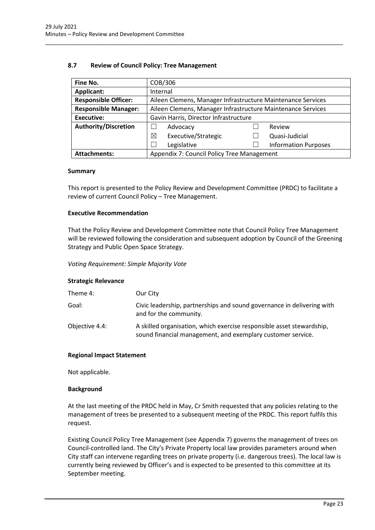# **8.7 Review of Council Policy: Tree Management**

| Fine No.                    | COB/306                                                     |  |                             |
|-----------------------------|-------------------------------------------------------------|--|-----------------------------|
| Applicant:                  | Internal                                                    |  |                             |
| <b>Responsible Officer:</b> | Aileen Clemens, Manager Infrastructure Maintenance Services |  |                             |
| <b>Responsible Manager:</b> | Aileen Clemens, Manager Infrastructure Maintenance Services |  |                             |
| <b>Executive:</b>           | Gavin Harris, Director Infrastructure                       |  |                             |
| <b>Authority/Discretion</b> | Advocacy                                                    |  | Review                      |
|                             | ⊠<br>Executive/Strategic                                    |  | Quasi-Judicial              |
|                             | Legislative                                                 |  | <b>Information Purposes</b> |
| <b>Attachments:</b>         | Appendix 7: Council Policy Tree Management                  |  |                             |

<span id="page-23-0"></span>\_\_\_\_\_\_\_\_\_\_\_\_\_\_\_\_\_\_\_\_\_\_\_\_\_\_\_\_\_\_\_\_\_\_\_\_\_\_\_\_\_\_\_\_\_\_\_\_\_\_\_\_\_\_\_\_\_\_\_\_\_\_\_\_\_\_\_\_\_\_\_\_\_\_\_\_\_\_\_\_\_\_\_\_\_\_\_\_\_\_\_\_\_\_\_

# **Summary**

This report is presented to the Policy Review and Development Committee (PRDC) to facilitate a review of current Council Policy – Tree Management.

# **Executive Recommendation**

That the Policy Review and Development Committee note that Council Policy Tree Management will be reviewed following the consideration and subsequent adoption by Council of the Greening Strategy and Public Open Space Strategy.

*Voting Requirement: Simple Majority Vote*

# **Strategic Relevance**

| Theme 4:       | Our City                                                                                                                             |
|----------------|--------------------------------------------------------------------------------------------------------------------------------------|
| Goal:          | Civic leadership, partnerships and sound governance in delivering with<br>and for the community.                                     |
| Objective 4.4: | A skilled organisation, which exercise responsible asset stewardship,<br>sound financial management, and exemplary customer service. |

# **Regional Impact Statement**

Not applicable.

# **Background**

At the last meeting of the PRDC held in May, Cr Smith requested that any policies relating to the management of trees be presented to a subsequent meeting of the PRDC. This report fulfils this request.

Existing Council Policy Tree Management (see Appendix 7) governs the management of trees on Council-controlled land. The City's Private Property local law provides parameters around when City staff can intervene regarding trees on private property (i.e. dangerous trees). The local law is currently being reviewed by Officer's and is expected to be presented to this committee at its September meeting.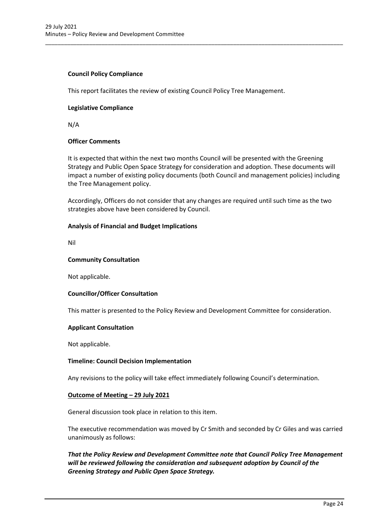# **Council Policy Compliance**

This report facilitates the review of existing Council Policy Tree Management.

\_\_\_\_\_\_\_\_\_\_\_\_\_\_\_\_\_\_\_\_\_\_\_\_\_\_\_\_\_\_\_\_\_\_\_\_\_\_\_\_\_\_\_\_\_\_\_\_\_\_\_\_\_\_\_\_\_\_\_\_\_\_\_\_\_\_\_\_\_\_\_\_\_\_\_\_\_\_\_\_\_\_\_\_\_\_\_\_\_\_\_\_\_\_\_

# **Legislative Compliance**

N/A

# **Officer Comments**

It is expected that within the next two months Council will be presented with the Greening Strategy and Public Open Space Strategy for consideration and adoption. These documents will impact a number of existing policy documents (both Council and management policies) including the Tree Management policy.

Accordingly, Officers do not consider that any changes are required until such time as the two strategies above have been considered by Council.

# **Analysis of Financial and Budget Implications**

Nil

# **Community Consultation**

Not applicable.

# **Councillor/Officer Consultation**

This matter is presented to the Policy Review and Development Committee for consideration.

# **Applicant Consultation**

Not applicable.

# **Timeline: Council Decision Implementation**

Any revisions to the policy will take effect immediately following Council's determination.

# **Outcome of Meeting – 29 July 2021**

General discussion took place in relation to this item.

The executive recommendation was moved by Cr Smith and seconded by Cr Giles and was carried unanimously as follows:

*That the Policy Review and Development Committee note that Council Policy Tree Management will be reviewed following the consideration and subsequent adoption by Council of the Greening Strategy and Public Open Space Strategy.*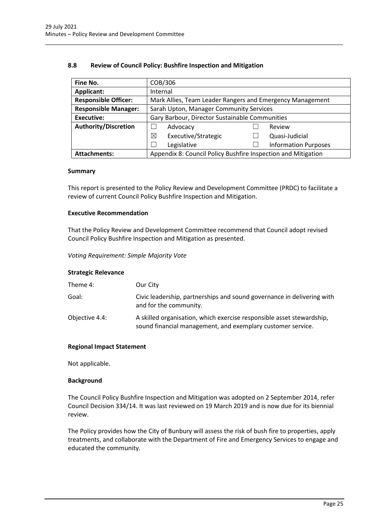# **8.8 Review of Council Policy: Bushfire Inspection and Mitigation**

| Fine No.                    | COB/306                                                       |  |                             |
|-----------------------------|---------------------------------------------------------------|--|-----------------------------|
| Applicant:                  | Internal                                                      |  |                             |
| <b>Responsible Officer:</b> | Mark Allies, Team Leader Rangers and Emergency Management     |  |                             |
| <b>Responsible Manager:</b> | Sarah Upton, Manager Community Services                       |  |                             |
| <b>Executive:</b>           | Gary Barbour, Director Sustainable Communities                |  |                             |
| <b>Authority/Discretion</b> | Advocacy                                                      |  | Review                      |
|                             | Executive/Strategic<br>⊠                                      |  | Quasi-Judicial              |
|                             | Legislative                                                   |  | <b>Information Purposes</b> |
| <b>Attachments:</b>         | Appendix 8: Council Policy Bushfire Inspection and Mitigation |  |                             |

<span id="page-25-0"></span>\_\_\_\_\_\_\_\_\_\_\_\_\_\_\_\_\_\_\_\_\_\_\_\_\_\_\_\_\_\_\_\_\_\_\_\_\_\_\_\_\_\_\_\_\_\_\_\_\_\_\_\_\_\_\_\_\_\_\_\_\_\_\_\_\_\_\_\_\_\_\_\_\_\_\_\_\_\_\_\_\_\_\_\_\_\_\_\_\_\_\_\_\_\_\_

#### **Summary**

This report is presented to the Policy Review and Development Committee (PRDC) to facilitate a review of current Council Policy Bushfire Inspection and Mitigation.

# **Executive Recommendation**

That the Policy Review and Development Committee recommend that Council adopt revised Council Policy Bushfire Inspection and Mitigation as presented.

*Voting Requirement: Simple Majority Vote*

# **Strategic Relevance**

| Theme 4:       | Our City                                                                                                                             |
|----------------|--------------------------------------------------------------------------------------------------------------------------------------|
| Goal:          | Civic leadership, partnerships and sound governance in delivering with<br>and for the community.                                     |
| Objective 4.4: | A skilled organisation, which exercise responsible asset stewardship,<br>sound financial management, and exemplary customer service. |

# **Regional Impact Statement**

Not applicable.

# **Background**

The Council Policy Bushfire Inspection and Mitigation was adopted on 2 September 2014, refer Council Decision 334/14. It was last reviewed on 19 March 2019 and is now due for its biennial review.

The Policy provides how the City of Bunbury will assess the risk of bush fire to properties, apply treatments, and collaborate with the Department of Fire and Emergency Services to engage and educated the community.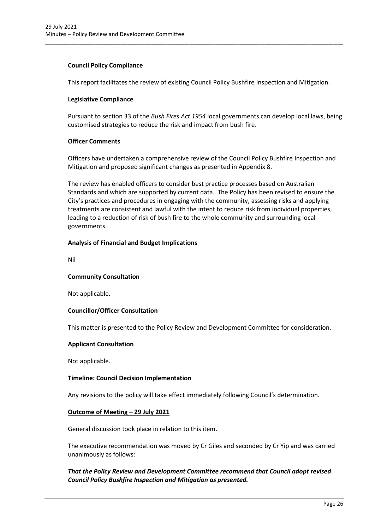# **Council Policy Compliance**

This report facilitates the review of existing Council Policy Bushfire Inspection and Mitigation.

\_\_\_\_\_\_\_\_\_\_\_\_\_\_\_\_\_\_\_\_\_\_\_\_\_\_\_\_\_\_\_\_\_\_\_\_\_\_\_\_\_\_\_\_\_\_\_\_\_\_\_\_\_\_\_\_\_\_\_\_\_\_\_\_\_\_\_\_\_\_\_\_\_\_\_\_\_\_\_\_\_\_\_\_\_\_\_\_\_\_\_\_\_\_\_

# **Legislative Compliance**

Pursuant to section 33 of the *Bush Fires Act 1954* local governments can develop local laws, being customised strategies to reduce the risk and impact from bush fire.

# **Officer Comments**

Officers have undertaken a comprehensive review of the Council Policy Bushfire Inspection and Mitigation and proposed significant changes as presented in Appendix 8.

The review has enabled officers to consider best practice processes based on Australian Standards and which are supported by current data. The Policy has been revised to ensure the City's practices and procedures in engaging with the community, assessing risks and applying treatments are consistent and lawful with the intent to reduce risk from individual properties, leading to a reduction of risk of bush fire to the whole community and surrounding local governments.

# **Analysis of Financial and Budget Implications**

Nil

# **Community Consultation**

Not applicable.

# **Councillor/Officer Consultation**

This matter is presented to the Policy Review and Development Committee for consideration.

# **Applicant Consultation**

Not applicable.

# **Timeline: Council Decision Implementation**

Any revisions to the policy will take effect immediately following Council's determination.

# **Outcome of Meeting – 29 July 2021**

General discussion took place in relation to this item.

The executive recommendation was moved by Cr Giles and seconded by Cr Yip and was carried unanimously as follows:

# *That the Policy Review and Development Committee recommend that Council adopt revised Council Policy Bushfire Inspection and Mitigation as presented.*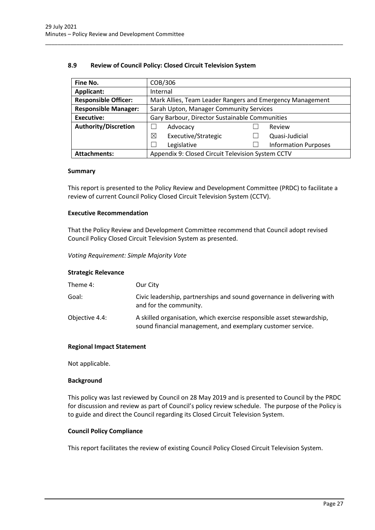# **8.9 Review of Council Policy: Closed Circuit Television System**

| Fine No.                    | COB/306                                                   |  |                             |
|-----------------------------|-----------------------------------------------------------|--|-----------------------------|
| <b>Applicant:</b>           | Internal                                                  |  |                             |
| <b>Responsible Officer:</b> | Mark Allies, Team Leader Rangers and Emergency Management |  |                             |
| <b>Responsible Manager:</b> | Sarah Upton, Manager Community Services                   |  |                             |
| <b>Executive:</b>           | Gary Barbour, Director Sustainable Communities            |  |                             |
| <b>Authority/Discretion</b> | Advocacy                                                  |  | Review                      |
|                             | Executive/Strategic<br>⊠                                  |  | Quasi-Judicial              |
|                             | Legislative                                               |  | <b>Information Purposes</b> |
| <b>Attachments:</b>         | Appendix 9: Closed Circuit Television System CCTV         |  |                             |

<span id="page-27-0"></span>\_\_\_\_\_\_\_\_\_\_\_\_\_\_\_\_\_\_\_\_\_\_\_\_\_\_\_\_\_\_\_\_\_\_\_\_\_\_\_\_\_\_\_\_\_\_\_\_\_\_\_\_\_\_\_\_\_\_\_\_\_\_\_\_\_\_\_\_\_\_\_\_\_\_\_\_\_\_\_\_\_\_\_\_\_\_\_\_\_\_\_\_\_\_\_

# **Summary**

This report is presented to the Policy Review and Development Committee (PRDC) to facilitate a review of current Council Policy Closed Circuit Television System (CCTV).

# **Executive Recommendation**

That the Policy Review and Development Committee recommend that Council adopt revised Council Policy Closed Circuit Television System as presented.

*Voting Requirement: Simple Majority Vote*

# **Strategic Relevance**

| Theme 4:       | Our City                                                                                                                             |
|----------------|--------------------------------------------------------------------------------------------------------------------------------------|
| Goal:          | Civic leadership, partnerships and sound governance in delivering with<br>and for the community.                                     |
| Objective 4.4: | A skilled organisation, which exercise responsible asset stewardship,<br>sound financial management, and exemplary customer service. |

# **Regional Impact Statement**

Not applicable.

# **Background**

This policy was last reviewed by Council on 28 May 2019 and is presented to Council by the PRDC for discussion and review as part of Council's policy review schedule. The purpose of the Policy is to guide and direct the Council regarding its Closed Circuit Television System.

# **Council Policy Compliance**

This report facilitates the review of existing Council Policy Closed Circuit Television System.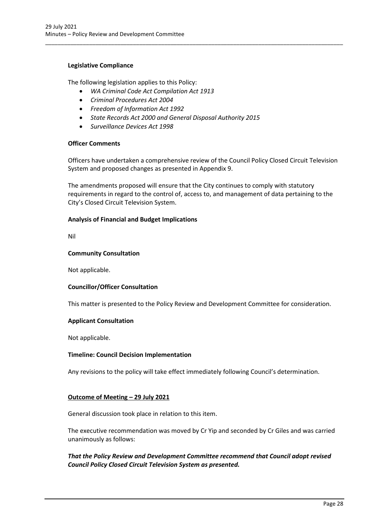# **Legislative Compliance**

The following legislation applies to this Policy:

- *WA Criminal Code Act Compilation Act 1913*
- *Criminal Procedures Act 2004*
- *Freedom of Information Act 1992*
- *State Records Act 2000 and General Disposal Authority 2015*
- *Surveillance Devices Act 1998*

# **Officer Comments**

Officers have undertaken a comprehensive review of the Council Policy Closed Circuit Television System and proposed changes as presented in Appendix 9.

\_\_\_\_\_\_\_\_\_\_\_\_\_\_\_\_\_\_\_\_\_\_\_\_\_\_\_\_\_\_\_\_\_\_\_\_\_\_\_\_\_\_\_\_\_\_\_\_\_\_\_\_\_\_\_\_\_\_\_\_\_\_\_\_\_\_\_\_\_\_\_\_\_\_\_\_\_\_\_\_\_\_\_\_\_\_\_\_\_\_\_\_\_\_\_

The amendments proposed will ensure that the City continues to comply with statutory requirements in regard to the control of, access to, and management of data pertaining to the City's Closed Circuit Television System.

# **Analysis of Financial and Budget Implications**

Nil

#### **Community Consultation**

Not applicable.

# **Councillor/Officer Consultation**

This matter is presented to the Policy Review and Development Committee for consideration.

# **Applicant Consultation**

Not applicable.

# **Timeline: Council Decision Implementation**

Any revisions to the policy will take effect immediately following Council's determination.

# **Outcome of Meeting – 29 July 2021**

General discussion took place in relation to this item.

The executive recommendation was moved by Cr Yip and seconded by Cr Giles and was carried unanimously as follows:

*That the Policy Review and Development Committee recommend that Council adopt revised Council Policy Closed Circuit Television System as presented.*